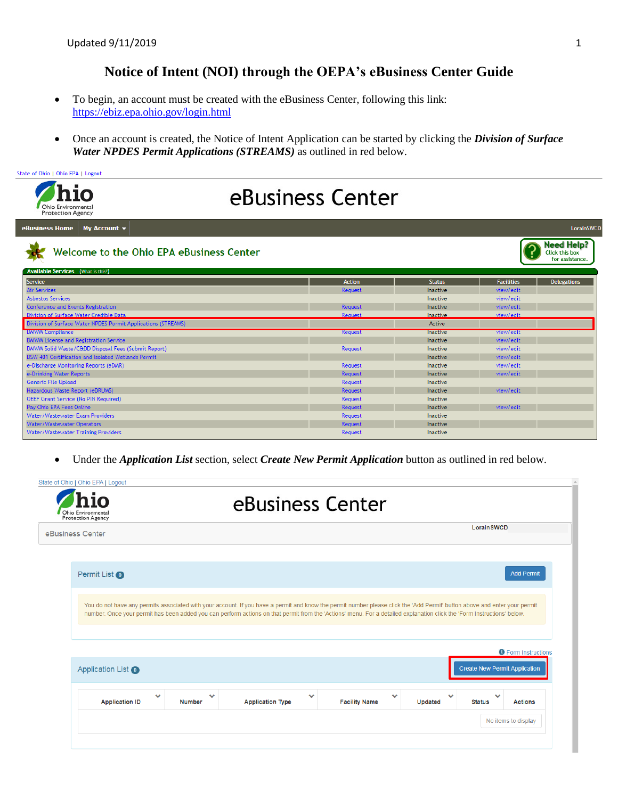## **Notice of Intent (NOI) through the OEPA's eBusiness Center Guide**

- To begin, an account must be created with the eBusiness Center, following this link: <https://ebiz.epa.ohio.gov/login.html>
- Once an account is created, the Notice of Intent Application can be started by clicking the *Division of Surface Water NPDES Permit Applications (STREAMS)* as outlined in red below.



Under the *Application List* section, select *Create New Permit Application* button as outlined in red below.

| Ohio Environmental<br><b>Protection Agency</b> |               | eBusiness Center                                                                                                                                                                                                                                                                                                                                      |                                      |              |                                      |                            |
|------------------------------------------------|---------------|-------------------------------------------------------------------------------------------------------------------------------------------------------------------------------------------------------------------------------------------------------------------------------------------------------------------------------------------------------|--------------------------------------|--------------|--------------------------------------|----------------------------|
| eBusiness Center                               |               |                                                                                                                                                                                                                                                                                                                                                       |                                      |              | <b>Lorain SWCD</b>                   |                            |
| Permit List <sup>O</sup>                       |               |                                                                                                                                                                                                                                                                                                                                                       |                                      |              |                                      | <b>Add Permit</b>          |
|                                                |               | You do not have any permits associated with your account. If you have a permit and know the permit number please click the 'Add Permit' button above and enter your permit<br>number. Once your permit has been added you can perform actions on that permit from the 'Actions' menu. For a detailed explanation click the 'Form Instructions' below. |                                      |              |                                      |                            |
| Application List <sup>O</sup>                  |               |                                                                                                                                                                                                                                                                                                                                                       |                                      |              | <b>Create New Permit Application</b> | <b>O</b> Form Instructions |
|                                                |               |                                                                                                                                                                                                                                                                                                                                                       | $\checkmark$<br><b>Facility Name</b> | ◡<br>Updated | <b>Status</b>                        |                            |
| $\checkmark$<br><b>Application ID</b>          | <b>Number</b> | <b>Application Type</b>                                                                                                                                                                                                                                                                                                                               |                                      |              |                                      | <b>Actions</b>             |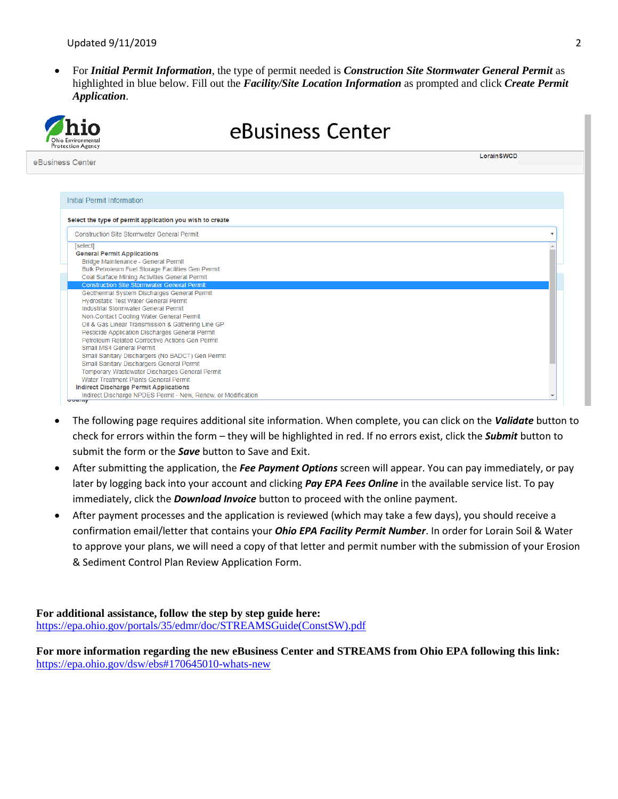For *Initial Permit Information*, the type of permit needed is *Construction Site Stormwater General Permit* as highlighted in blue below. Fill out the *Facility/Site Location Information* as prompted and click *Create Permit Application*.



- The following page requires additional site information. When complete, you can click on the *Validate* button to check for errors within the form – they will be highlighted in red. If no errors exist, click the *Submit* button to submit the form or the *Save* button to Save and Exit.
- After submitting the application, the *Fee Payment Options* screen will appear. You can pay immediately, or pay later by logging back into your account and clicking *Pay EPA Fees Online* in the available service list. To pay immediately, click the *Download Invoice* button to proceed with the online payment.
- After payment processes and the application is reviewed (which may take a few days), you should receive a confirmation email/letter that contains your *Ohio EPA Facility Permit Number*. In order for Lorain Soil & Water to approve your plans, we will need a copy of that letter and permit number with the submission of your Erosion & Sediment Control Plan Review Application Form.

**For additional assistance, follow the step by step guide here:**  [https://epa.ohio.gov/portals/35/edmr/doc/STREAMSGuide\(ConstSW\).pdf](https://epa.ohio.gov/portals/35/edmr/doc/STREAMSGuide(ConstSW).pdf)

**For more information regarding the new eBusiness Center and STREAMS from Ohio EPA following this link:** <https://epa.ohio.gov/dsw/ebs#170645010-whats-new>